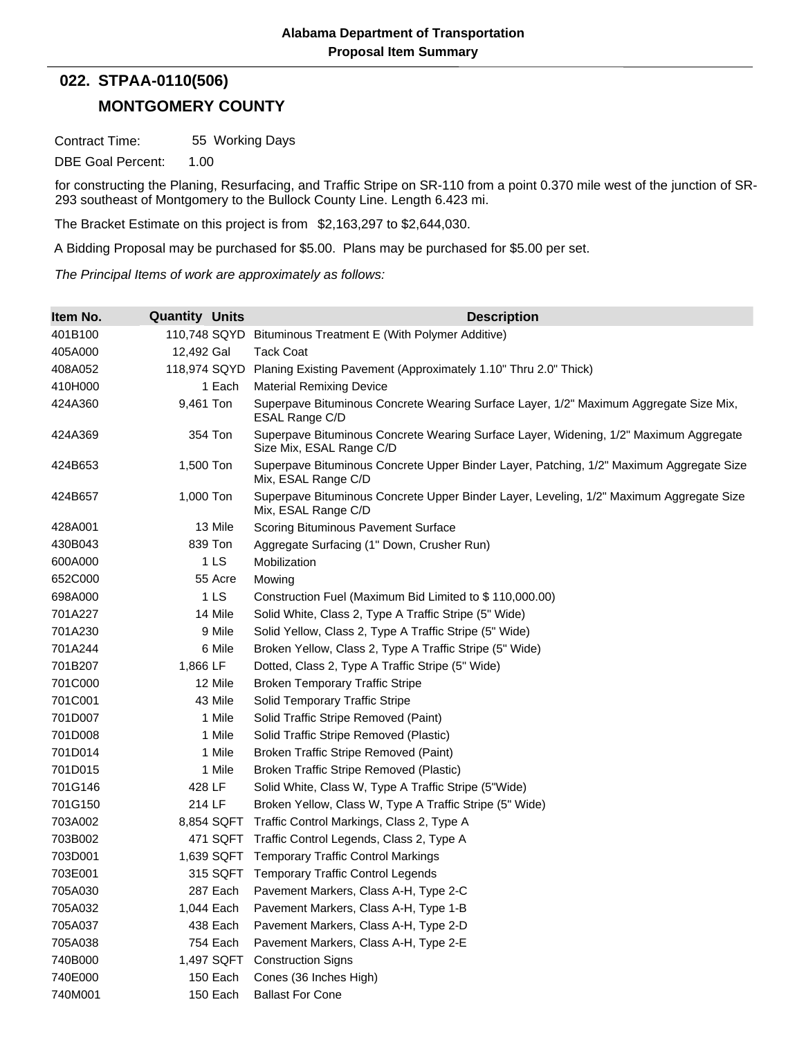## **MONTGOMERY COUNTY 022. STPAA-0110(506)**

Contract Time: 55 Working Days

DBE Goal Percent: 1.00

for constructing the Planing, Resurfacing, and Traffic Stripe on SR-110 from a point 0.370 mile west of the junction of SR-293 southeast of Montgomery to the Bullock County Line. Length 6.423 mi.

The Bracket Estimate on this project is from \$2,163,297 to \$2,644,030.

A Bidding Proposal may be purchased for \$5.00. Plans may be purchased for \$5.00 per set.

*The Principal Items of work are approximately as follows:*

| Item No. | <b>Quantity Units</b> | <b>Description</b>                                                                                                |  |  |  |
|----------|-----------------------|-------------------------------------------------------------------------------------------------------------------|--|--|--|
| 401B100  | 110,748 SQYD          | Bituminous Treatment E (With Polymer Additive)                                                                    |  |  |  |
| 405A000  | 12,492 Gal            | <b>Tack Coat</b>                                                                                                  |  |  |  |
| 408A052  | 118,974 SQYD          | Planing Existing Pavement (Approximately 1.10" Thru 2.0" Thick)                                                   |  |  |  |
| 410H000  | 1 Each                | <b>Material Remixing Device</b>                                                                                   |  |  |  |
| 424A360  | 9,461 Ton             | Superpave Bituminous Concrete Wearing Surface Layer, 1/2" Maximum Aggregate Size Mix,<br>ESAL Range C/D           |  |  |  |
| 424A369  | 354 Ton               | Superpave Bituminous Concrete Wearing Surface Layer, Widening, 1/2" Maximum Aggregate<br>Size Mix, ESAL Range C/D |  |  |  |
| 424B653  | 1,500 Ton             | Superpave Bituminous Concrete Upper Binder Layer, Patching, 1/2" Maximum Aggregate Size<br>Mix, ESAL Range C/D    |  |  |  |
| 424B657  | 1,000 Ton             | Superpave Bituminous Concrete Upper Binder Layer, Leveling, 1/2" Maximum Aggregate Size<br>Mix, ESAL Range C/D    |  |  |  |
| 428A001  | 13 Mile               | Scoring Bituminous Pavement Surface                                                                               |  |  |  |
| 430B043  | 839 Ton               | Aggregate Surfacing (1" Down, Crusher Run)                                                                        |  |  |  |
| 600A000  | 1 <sub>LS</sub>       | Mobilization                                                                                                      |  |  |  |
| 652C000  | 55 Acre               | Mowing                                                                                                            |  |  |  |
| 698A000  | 1 <sub>LS</sub>       | Construction Fuel (Maximum Bid Limited to \$110,000.00)                                                           |  |  |  |
| 701A227  | 14 Mile               | Solid White, Class 2, Type A Traffic Stripe (5" Wide)                                                             |  |  |  |
| 701A230  | 9 Mile                | Solid Yellow, Class 2, Type A Traffic Stripe (5" Wide)                                                            |  |  |  |
| 701A244  | 6 Mile                | Broken Yellow, Class 2, Type A Traffic Stripe (5" Wide)                                                           |  |  |  |
| 701B207  | 1,866 LF              | Dotted, Class 2, Type A Traffic Stripe (5" Wide)                                                                  |  |  |  |
| 701C000  | 12 Mile               | <b>Broken Temporary Traffic Stripe</b>                                                                            |  |  |  |
| 701C001  | 43 Mile               | Solid Temporary Traffic Stripe                                                                                    |  |  |  |
| 701D007  | 1 Mile                | Solid Traffic Stripe Removed (Paint)                                                                              |  |  |  |
| 701D008  | 1 Mile                | Solid Traffic Stripe Removed (Plastic)                                                                            |  |  |  |
| 701D014  | 1 Mile                | Broken Traffic Stripe Removed (Paint)                                                                             |  |  |  |
| 701D015  | 1 Mile                | Broken Traffic Stripe Removed (Plastic)                                                                           |  |  |  |
| 701G146  | 428 LF                | Solid White, Class W, Type A Traffic Stripe (5"Wide)                                                              |  |  |  |
| 701G150  | 214 LF                | Broken Yellow, Class W, Type A Traffic Stripe (5" Wide)                                                           |  |  |  |
| 703A002  | 8,854 SQFT            | Traffic Control Markings, Class 2, Type A                                                                         |  |  |  |
| 703B002  | 471 SQFT              | Traffic Control Legends, Class 2, Type A                                                                          |  |  |  |
| 703D001  | 1,639 SQFT            | <b>Temporary Traffic Control Markings</b>                                                                         |  |  |  |
| 703E001  |                       | 315 SQFT Temporary Traffic Control Legends                                                                        |  |  |  |
| 705A030  | 287 Each              | Pavement Markers, Class A-H, Type 2-C                                                                             |  |  |  |
| 705A032  | 1,044 Each            | Pavement Markers, Class A-H, Type 1-B                                                                             |  |  |  |
| 705A037  | 438 Each              | Pavement Markers, Class A-H, Type 2-D                                                                             |  |  |  |
| 705A038  | 754 Each              | Pavement Markers, Class A-H, Type 2-E                                                                             |  |  |  |
| 740B000  | 1,497 SQFT            | <b>Construction Signs</b>                                                                                         |  |  |  |
| 740E000  | 150 Each              | Cones (36 Inches High)                                                                                            |  |  |  |
| 740M001  | 150 Each              | <b>Ballast For Cone</b>                                                                                           |  |  |  |